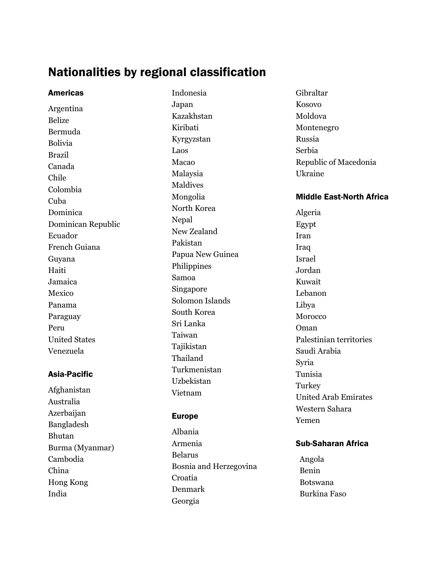# Nationalities by regional classification

Americas Argentina Belize Bermuda Bolivia Brazil Canada Chile Colombia Cuba Dominica Dominican Republic Ecuador French Guiana Guyana Haiti Jamaica Mexico Panama Paraguay Peru United States Venezuela

#### Asia-Pacific

Afghanistan Australia Azerbaijan Bangladesh Bhutan Burma (Myanmar) Cambodia China Hong Kong India

Indonesia Japan Kazakhstan Kiribati Kyrgyzstan Laos Macao Malaysia Maldives Mongolia North Korea Nepal New Zealand Pakistan Papua New Guinea Philippines Samoa Singapore Solomon Islands South Korea Sri Lanka Taiwan Tajikistan Thailand Turkmenistan Uzbekistan Vietnam

#### Europe

Albania Armenia Belarus Bosnia and Herzegovina Croatia Denmark Georgia

Gibraltar Kosovo Moldova Montenegro Russia Serbia Republic of Macedonia Ukraine

#### Middle East-North Africa

Algeria Egypt Iran Iraq Israel Jordan Kuwait Lebanon Libya Morocco Oman Palestinian territories Saudi Arabia Syria Tunisia **Turkey** United Arab Emirates Western Sahara Yemen

### Sub-Saharan Africa

Angola Benin Botswana Burkina Faso